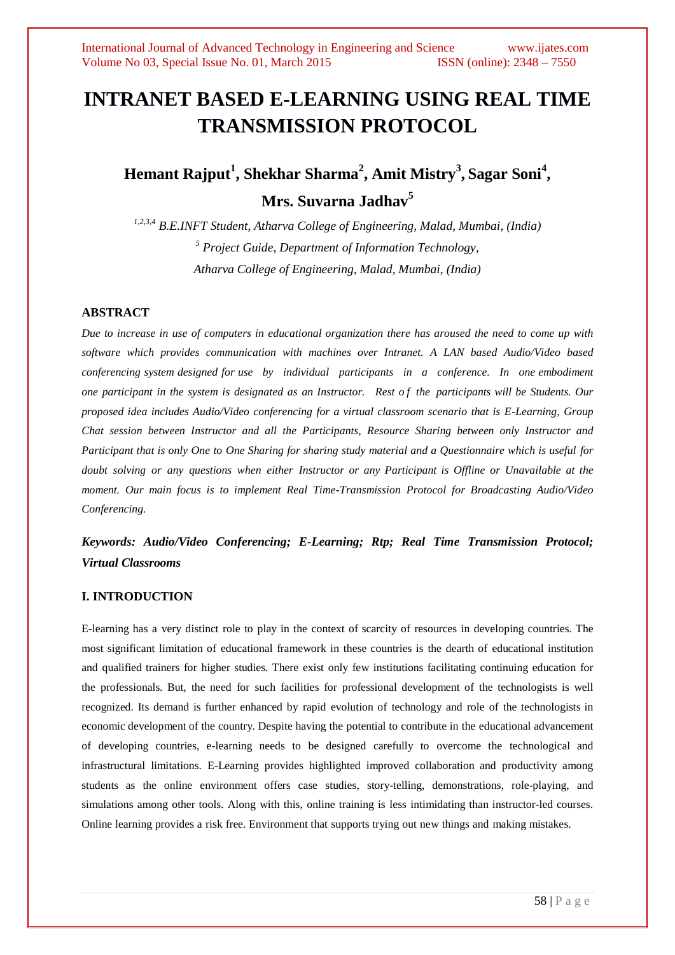# **INTRANET BASED E-LEARNING USING REAL TIME TRANSMISSION PROTOCOL**

**Hemant Rajput<sup>1</sup> , Shekhar Sharma<sup>2</sup> , Amit Mistry<sup>3</sup> , Sagar Soni<sup>4</sup> , Mrs. Suvarna Jadhav<sup>5</sup>**

*1,2,3,4 B.E.INFT Student, Atharva College of Engineering, Malad, Mumbai, (India) <sup>5</sup> Project Guide, Department of Information Technology, Atharva College of Engineering, Malad, Mumbai, (India)*

## **ABSTRACT**

*Due to increase in use of computers in educational organization there has aroused the need to come up with software which provides communication with machines over Intranet. A LAN based Audio/Video based conferencing system designed for use by individual participants in a conference. In one embodiment one participant in the system is designated as an Instructor. Rest o f the participants will be Students. Our proposed idea includes Audio/Video conferencing for a virtual classroom scenario that is E-Learning, Group Chat session between Instructor and all the Participants, Resource Sharing between only Instructor and Participant that is only One to One Sharing for sharing study material and a Questionnaire which is useful for doubt solving or any questions when either Instructor or any Participant is Offline or Unavailable at the moment. Our main focus is to implement Real Time-Transmission Protocol for Broadcasting Audio/Video Conferencing.*

*Keywords: Audio/Video Conferencing; E-Learning; Rtp; Real Time Transmission Protocol; Virtual Classrooms*

# **I. INTRODUCTION**

E-learning has a very distinct role to play in the context of scarcity of resources in developing countries. The most significant limitation of educational framework in these countries is the dearth of educational institution and qualified trainers for higher studies. There exist only few institutions facilitating continuing education for the professionals. But, the need for such facilities for professional development of the technologists is well recognized. Its demand is further enhanced by rapid evolution of technology and role of the technologists in economic development of the country. Despite having the potential to contribute in the educational advancement of developing countries, e-learning needs to be designed carefully to overcome the technological and infrastructural limitations. E-Learning provides highlighted improved collaboration and productivity among students as the online environment offers case studies, story-telling, demonstrations, role-playing, and simulations among other tools. Along with this, online training is less intimidating than instructor-led courses. Online learning provides a risk free. Environment that supports trying out new things and making mistakes.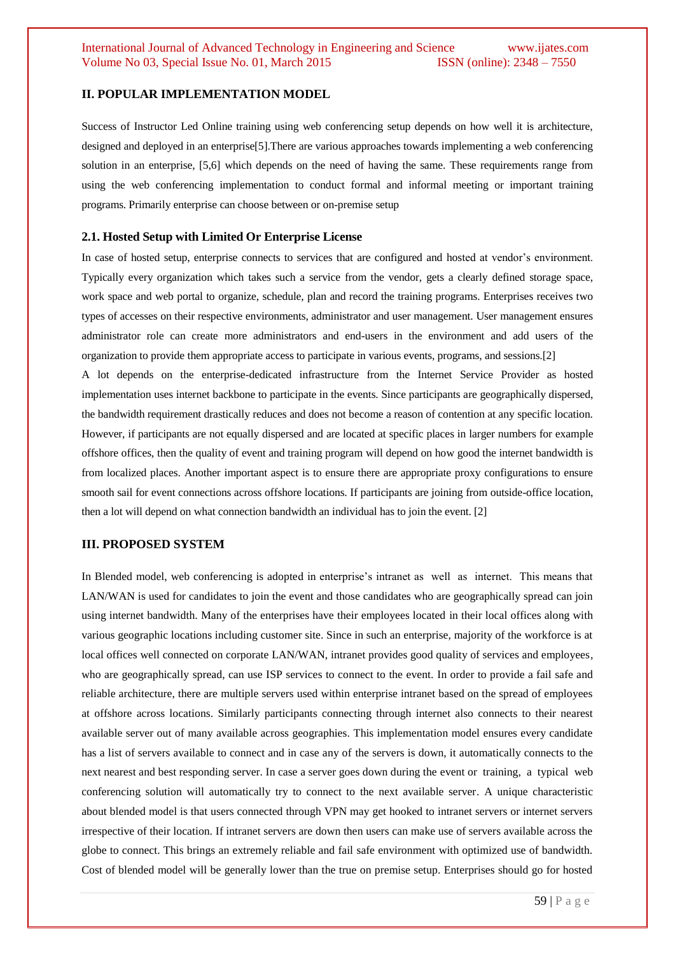## **II. POPULAR IMPLEMENTATION MODEL**

Success of Instructor Led Online training using web conferencing setup depends on how well it is architecture, designed and deployed in an enterprise[5].There are various approaches towards implementing a web conferencing solution in an enterprise, [5,6] which depends on the need of having the same. These requirements range from using the web conferencing implementation to conduct formal and informal meeting or important training programs. Primarily enterprise can choose between or on-premise setup

### **2.1. Hosted Setup with Limited Or Enterprise License**

In case of hosted setup, enterprise connects to services that are configured and hosted at vendor's environment. Typically every organization which takes such a service from the vendor, gets a clearly defined storage space, work space and web portal to organize, schedule, plan and record the training programs. Enterprises receives two types of accesses on their respective environments, administrator and user management. User management ensures administrator role can create more administrators and end-users in the environment and add users of the organization to provide them appropriate access to participate in various events, programs, and sessions.[2]

A lot depends on the enterprise-dedicated infrastructure from the Internet Service Provider as hosted implementation uses internet backbone to participate in the events. Since participants are geographically dispersed, the bandwidth requirement drastically reduces and does not become a reason of contention at any specific location. However, if participants are not equally dispersed and are located at specific places in larger numbers for example offshore offices, then the quality of event and training program will depend on how good the internet bandwidth is from localized places. Another important aspect is to ensure there are appropriate proxy configurations to ensure smooth sail for event connections across offshore locations. If participants are joining from outside-office location, then a lot will depend on what connection bandwidth an individual has to join the event. [2]

#### **III. PROPOSED SYSTEM**

In Blended model, web conferencing is adopted in enterprise's intranet as well as internet. This means that LAN/WAN is used for candidates to join the event and those candidates who are geographically spread can join using internet bandwidth. Many of the enterprises have their employees located in their local offices along with various geographic locations including customer site. Since in such an enterprise, majority of the workforce is at local offices well connected on corporate LAN/WAN, intranet provides good quality of services and employees, who are geographically spread, can use ISP services to connect to the event. In order to provide a fail safe and reliable architecture, there are multiple servers used within enterprise intranet based on the spread of employees at offshore across locations. Similarly participants connecting through internet also connects to their nearest available server out of many available across geographies. This implementation model ensures every candidate has a list of servers available to connect and in case any of the servers is down, it automatically connects to the next nearest and best responding server. In case a server goes down during the event or training, a typical web conferencing solution will automatically try to connect to the next available server. A unique characteristic about blended model is that users connected through VPN may get hooked to intranet servers or internet servers irrespective of their location. If intranet servers are down then users can make use of servers available across the globe to connect. This brings an extremely reliable and fail safe environment with optimized use of bandwidth. Cost of blended model will be generally lower than the true on premise setup. Enterprises should go for hosted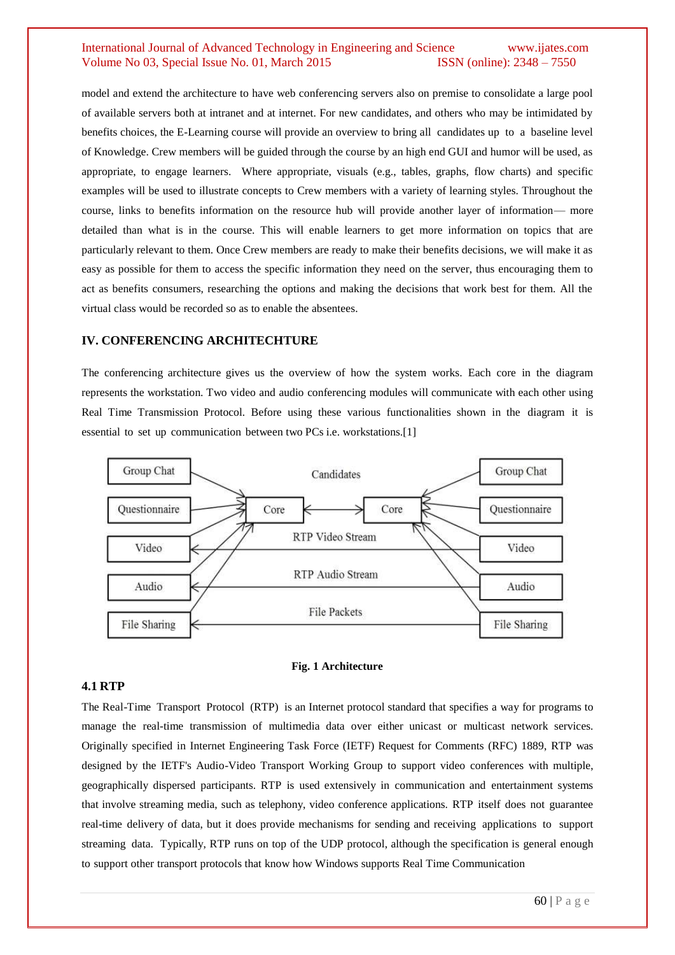# International Journal of Advanced Technology in Engineering and Science www.ijates.com Volume No 03, Special Issue No. 01, March 2015 ISSN (online): 2348 – 7550

model and extend the architecture to have web conferencing servers also on premise to consolidate a large pool of available servers both at intranet and at internet. For new candidates, and others who may be intimidated by benefits choices, the E-Learning course will provide an overview to bring all candidates up to a baseline level of Knowledge. Crew members will be guided through the course by an high end GUI and humor will be used, as appropriate, to engage learners. Where appropriate, visuals (e.g., tables, graphs, flow charts) and specific examples will be used to illustrate concepts to Crew members with a variety of learning styles. Throughout the course, links to benefits information on the resource hub will provide another layer of information— more detailed than what is in the course. This will enable learners to get more information on topics that are particularly relevant to them. Once Crew members are ready to make their benefits decisions, we will make it as easy as possible for them to access the specific information they need on the server, thus encouraging them to act as benefits consumers, researching the options and making the decisions that work best for them. All the virtual class would be recorded so as to enable the absentees.

# **IV. CONFERENCING ARCHITECHTURE**

The conferencing architecture gives us the overview of how the system works. Each core in the diagram represents the workstation. Two video and audio conferencing modules will communicate with each other using Real Time Transmission Protocol. Before using these various functionalities shown in the diagram it is essential to set up communication between two PCs i.e. workstations.[1]



#### **Fig. 1 Architecture**

# **4.1 RTP**

The Real-Time Transport Protocol (RTP) is an Internet protocol standard that specifies a way for programs to manage the real-time transmission of multimedia data over either unicast or multicast network services. Originally specified in Internet Engineering Task Force (IETF) Request for Comments (RFC) 1889, RTP was designed by the IETF's Audio-Video Transport Working Group to support video conferences with multiple, geographically dispersed participants. RTP is used extensively in communication and entertainment systems that involve streaming media, such as telephony, video conference applications. RTP itself does not guarantee real-time delivery of data, but it does provide mechanisms for sending and receiving applications to support streaming data. Typically, RTP runs on top of the UDP protocol, although the specification is general enough to support other transport protocols that know how Windows supports Real Time Communication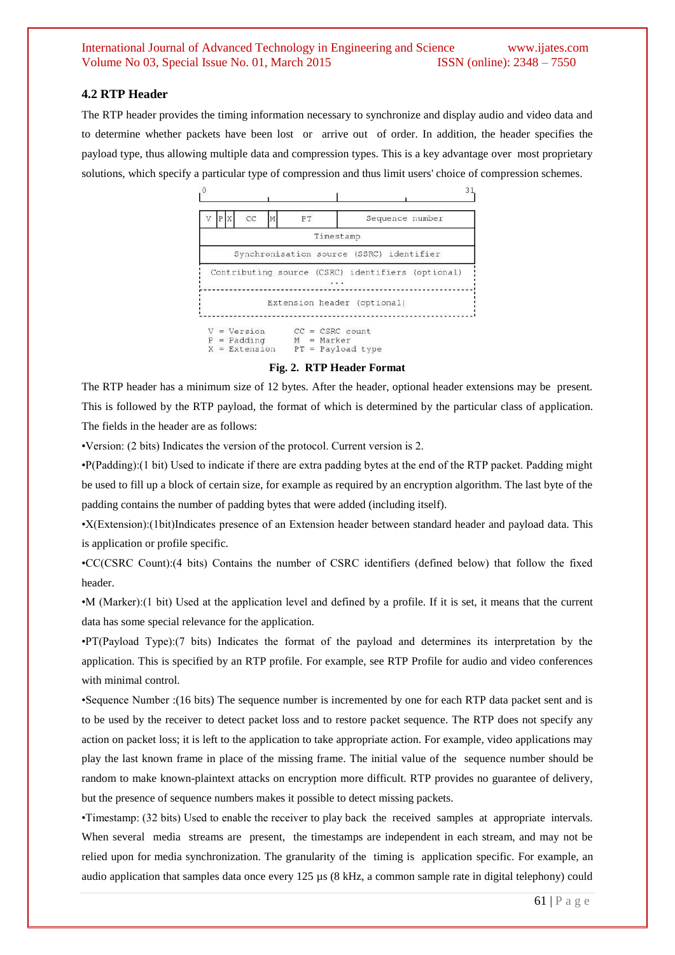# International Journal of Advanced Technology in Engineering and Science www.ijates.com Volume No 03, Special Issue No. 01, March 2015 ISSN (online): 2348 - 7550

#### **4.2 RTP Header**

The RTP header provides the timing information necessary to synchronize and display audio and video data and to determine whether packets have been lost or arrive out of order. In addition, the header specifies the payload type, thus allowing multiple data and compression types. This is a key advantage over most proprietary solutions, which specify a particular type of compression and thus limit users' choice of compression schemes.



#### **Fig. 2. RTP Header Format**

The RTP header has a minimum size of 12 bytes. After the header, optional header extensions may be present. This is followed by the RTP payload, the format of which is determined by the particular class of application. The fields in the header are as follows:

•Version: (2 bits) Indicates the version of the protocol. Current version is 2.

•P(Padding):(1 bit) Used to indicate if there are extra padding bytes at the end of the RTP packet. Padding might be used to fill up a block of certain size, for example as required by an encryption algorithm. The last byte of the padding contains the number of padding bytes that were added (including itself).

•X(Extension):(1bit)Indicates presence of an Extension header between standard header and payload data. This is application or profile specific.

•CC(CSRC Count):(4 bits) Contains the number of CSRC identifiers (defined below) that follow the fixed header.

•M (Marker):(1 bit) Used at the application level and defined by a profile. If it is set, it means that the current data has some special relevance for the application.

•PT(Payload Type):(7 bits) Indicates the format of the payload and determines its interpretation by the application. This is specified by an RTP profile. For example, see RTP Profile for audio and video conferences with minimal control.

•Sequence Number :(16 bits) The sequence number is incremented by one for each RTP data packet sent and is to be used by the receiver to detect packet loss and to restore packet sequence. The RTP does not specify any action on packet loss; it is left to the application to take appropriate action. For example, video applications may play the last known frame in place of the missing frame. The initial value of the sequence number should be random to make known-plaintext attacks on encryption more difficult. RTP provides no guarantee of delivery, but the presence of sequence numbers makes it possible to detect missing packets.

•Timestamp: (32 bits) Used to enable the receiver to play back the received samples at appropriate intervals. When several media streams are present, the timestamps are independent in each stream, and may not be relied upon for media synchronization. The granularity of the timing is application specific. For example, an audio application that samples data once every 125 µs (8 kHz, a common sample rate in digital telephony) could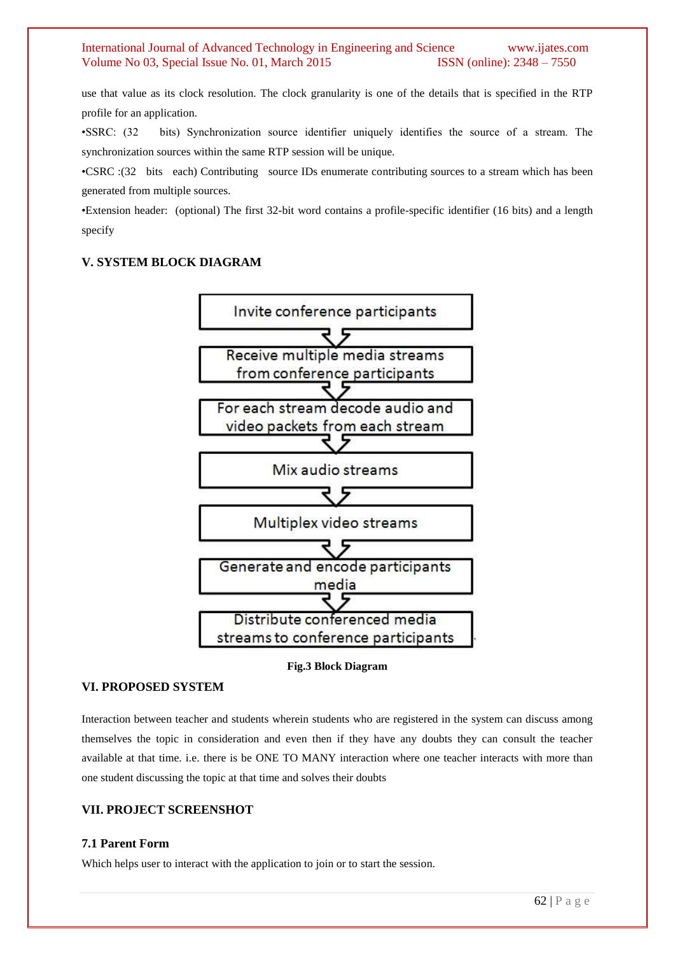# International Journal of Advanced Technology in Engineering and Science www.ijates.com Volume No 03, Special Issue No. 01, March 2015 ISSN (online): 2348 – 7550

use that value as its clock resolution. The clock granularity is one of the details that is specified in the RTP profile for an application.

•SSRC: (32 bits) Synchronization source identifier uniquely identifies the source of a stream. The synchronization sources within the same RTP session will be unique.

•CSRC :(32 bits each) Contributing source IDs enumerate contributing sources to a stream which has been generated from multiple sources.

•Extension header: (optional) The first 32-bit word contains a profile-specific identifier (16 bits) and a length specify

## **V. SYSTEM BLOCK DIAGRAM**



**Fig.3 Block Diagram**

# **VI. PROPOSED SYSTEM**

Interaction between teacher and students wherein students who are registered in the system can discuss among themselves the topic in consideration and even then if they have any doubts they can consult the teacher available at that time. i.e. there is be ONE TO MANY interaction where one teacher interacts with more than one student discussing the topic at that time and solves their doubts

# **VII. PROJECT SCREENSHOT**

# **7.1 Parent Form**

Which helps user to interact with the application to join or to start the session.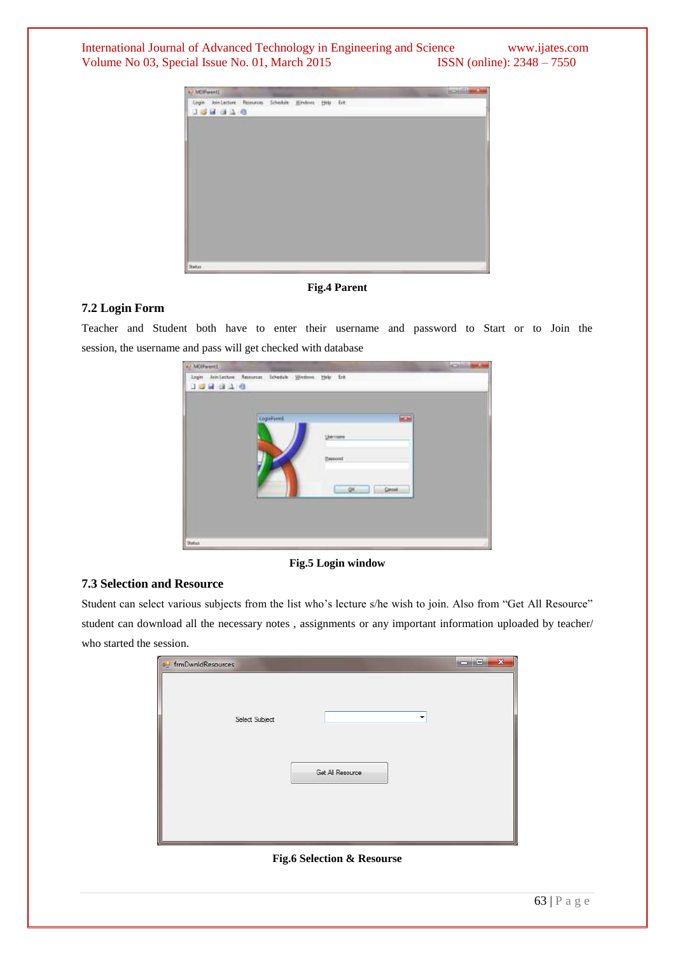International Journal of Advanced Technology in Engineering and Science www.ijates.com Volume No 03, Special Issue No. 01, March 2015 ISSN (online): 2348 - 7550



# **Fig.4 Parent**

# **7.2 Login Form**

Teacher and Student both have to enter their username and password to Start or to Join the session, the username and pass will get checked with database

| LogieFared | <b>Johnson</b><br>Envoyed<br>$\overline{\omega}$<br><b>Gentel</b> | <b>ROAD</b> |
|------------|-------------------------------------------------------------------|-------------|

**Fig.5 Login window**

# **7.3 Selection and Resource**

Student can select various subjects from the list who's lecture s/he wish to join. Also from "Get All Resource" student can download all the necessary notes , assignments or any important information uploaded by teacher/ who started the session.

| a <sup>1</sup> frmDwnldResources |                |                  | $\mathbf{x}$<br>$\Box$<br>CH |
|----------------------------------|----------------|------------------|------------------------------|
|                                  | Select Subject |                  | ۰                            |
|                                  |                | Get All Resource |                              |

**Fig.6 Selection & Resourse**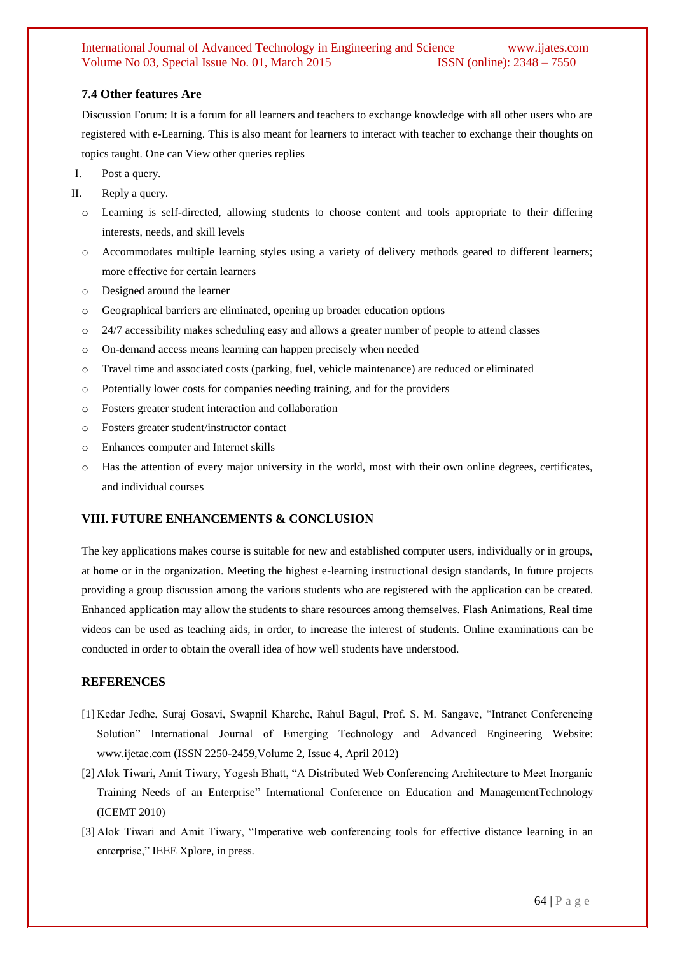# International Journal of Advanced Technology in Engineering and Science www.ijates.com Volume No 03, Special Issue No. 01, March 2015 ISSN (online): 2348 – 7550

# **7.4 Other features Are**

Discussion Forum: It is a forum for all learners and teachers to exchange knowledge with all other users who are registered with e-Learning. This is also meant for learners to interact with teacher to exchange their thoughts on topics taught. One can View other queries replies

- I. Post a query.
- II. Reply a query.
	- o Learning is self-directed, allowing students to choose content and tools appropriate to their differing interests, needs, and skill levels
	- o Accommodates multiple learning styles using a variety of delivery methods geared to different learners; more effective for certain learners
	- o Designed around the learner
	- o Geographical barriers are eliminated, opening up broader education options
	- o 24/7 accessibility makes scheduling easy and allows a greater number of people to attend classes
	- o On-demand access means learning can happen precisely when needed
	- o Travel time and associated costs (parking, fuel, vehicle maintenance) are reduced or eliminated
	- o Potentially lower costs for companies needing training, and for the providers
	- o Fosters greater student interaction and collaboration
	- o Fosters greater student/instructor contact
	- o Enhances computer and Internet skills
	- o Has the attention of every major university in the world, most with their own online degrees, certificates, and individual courses

# **VIII. FUTURE ENHANCEMENTS & CONCLUSION**

The key applications makes course is suitable for new and established computer users, individually or in groups, at home or in the organization. Meeting the highest e-learning instructional design standards, In future projects providing a group discussion among the various students who are registered with the application can be created. Enhanced application may allow the students to share resources among themselves. Flash Animations, Real time videos can be used as teaching aids, in order, to increase the interest of students. Online examinations can be conducted in order to obtain the overall idea of how well students have understood.

# **REFERENCES**

- [1] Kedar Jedhe, Suraj Gosavi, Swapnil Kharche, Rahul Bagul, Prof. S. M. Sangave, "Intranet Conferencing Solution" International Journal of Emerging Technology and Advanced Engineering Website: www.ijetae.com (ISSN 2250-2459,Volume 2, Issue 4, April 2012)
- [2] Alok Tiwari, Amit Tiwary, Yogesh Bhatt, "A Distributed Web Conferencing Architecture to Meet Inorganic Training Needs of an Enterprise" International Conference on Education and ManagementTechnology (ICEMT 2010)
- [3] Alok Tiwari and Amit Tiwary, "Imperative web conferencing tools for effective distance learning in an enterprise," IEEE Xplore, in press.